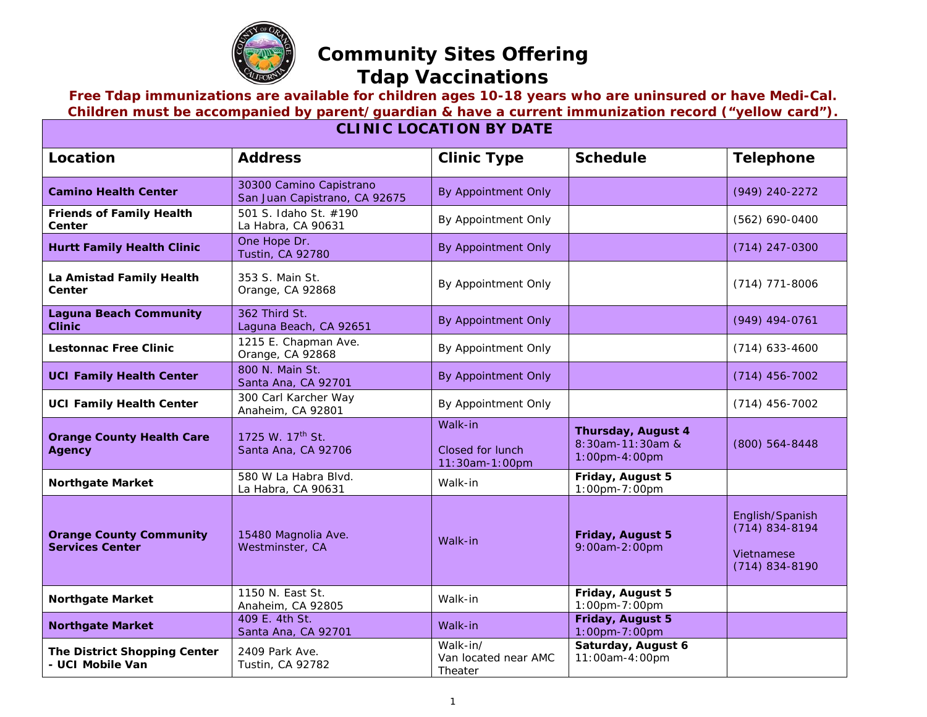

## **Community Sites Offering Tdap Vaccinations**

## **Free Tdap immunizations are available for children ages 10-18 years who are uninsured or have Medi-Cal. Children must be accompanied by parent/guardian & have a current immunization record ("yellow card").**

| <b>CLINIC LOCATION BY DATE</b>                           |                                                          |                                               |                                                                |                                                                         |  |
|----------------------------------------------------------|----------------------------------------------------------|-----------------------------------------------|----------------------------------------------------------------|-------------------------------------------------------------------------|--|
| Location                                                 | <b>Address</b>                                           | <b>Clinic Type</b>                            | <b>Schedule</b>                                                | <b>Telephone</b>                                                        |  |
| <b>Camino Health Center</b>                              | 30300 Camino Capistrano<br>San Juan Capistrano, CA 92675 | By Appointment Only                           |                                                                | (949) 240-2272                                                          |  |
| <b>Friends of Family Health</b><br>Center                | 501 S. Idaho St. #190<br>La Habra, CA 90631              | By Appointment Only                           |                                                                | (562) 690-0400                                                          |  |
| <b>Hurtt Family Health Clinic</b>                        | One Hope Dr.<br><b>Tustin, CA 92780</b>                  | By Appointment Only                           |                                                                | $(714)$ 247-0300                                                        |  |
| La Amistad Family Health<br>Center                       | 353 S. Main St.<br>Orange, CA 92868                      | By Appointment Only                           |                                                                | $(714)$ 771-8006                                                        |  |
| <b>Laguna Beach Community</b><br><b>Clinic</b>           | 362 Third St.<br>Laguna Beach, CA 92651                  | By Appointment Only                           |                                                                | $(949)$ 494-0761                                                        |  |
| Lestonnac Free Clinic                                    | 1215 E. Chapman Ave.<br>Orange, CA 92868                 | By Appointment Only                           |                                                                | $(714)$ 633-4600                                                        |  |
| <b>UCI Family Health Center</b>                          | 800 N. Main St.<br>Santa Ana, CA 92701                   | By Appointment Only                           |                                                                | $(714)$ 456-7002                                                        |  |
| <b>UCI Family Health Center</b>                          | 300 Carl Karcher Way<br>Anaheim, CA 92801                | By Appointment Only                           |                                                                | $(714)$ 456-7002                                                        |  |
| <b>Orange County Health Care</b><br><b>Agency</b>        | 1725 W. 17 <sup>th</sup> St.<br>Santa Ana, CA 92706      | Walk-in<br>Closed for lunch<br>11:30am-1:00pm | <b>Thursday, August 4</b><br>8:30am-11:30am &<br>1:00pm-4:00pm | (800) 564-8448                                                          |  |
| <b>Northgate Market</b>                                  | 580 W La Habra Blvd.<br>La Habra, CA 90631               | Walk-in                                       | Friday, August 5<br>1:00pm-7:00pm                              |                                                                         |  |
| <b>Orange County Community</b><br><b>Services Center</b> | 15480 Magnolia Ave.<br>Westminster, CA                   | Walk-in                                       | Friday, August 5<br>9:00am-2:00pm                              | English/Spanish<br>$(714) 834 - 8194$<br>Vietnamese<br>$(714)$ 834-8190 |  |
| <b>Northgate Market</b>                                  | 1150 N. East St.<br>Anaheim, CA 92805                    | Walk-in                                       | Friday, August 5<br>1:00pm-7:00pm                              |                                                                         |  |
| <b>Northgate Market</b>                                  | 409 E. 4th St.<br>Santa Ana, CA 92701                    | Walk-in                                       | Friday, August 5<br>1:00pm-7:00pm                              |                                                                         |  |
| The District Shopping Center<br>- UCI Mobile Van         | 2409 Park Ave.<br>Tustin, CA 92782                       | Walk-in/<br>Van located near AMC<br>Theater   | Saturday, August 6<br>11:00am-4:00pm                           |                                                                         |  |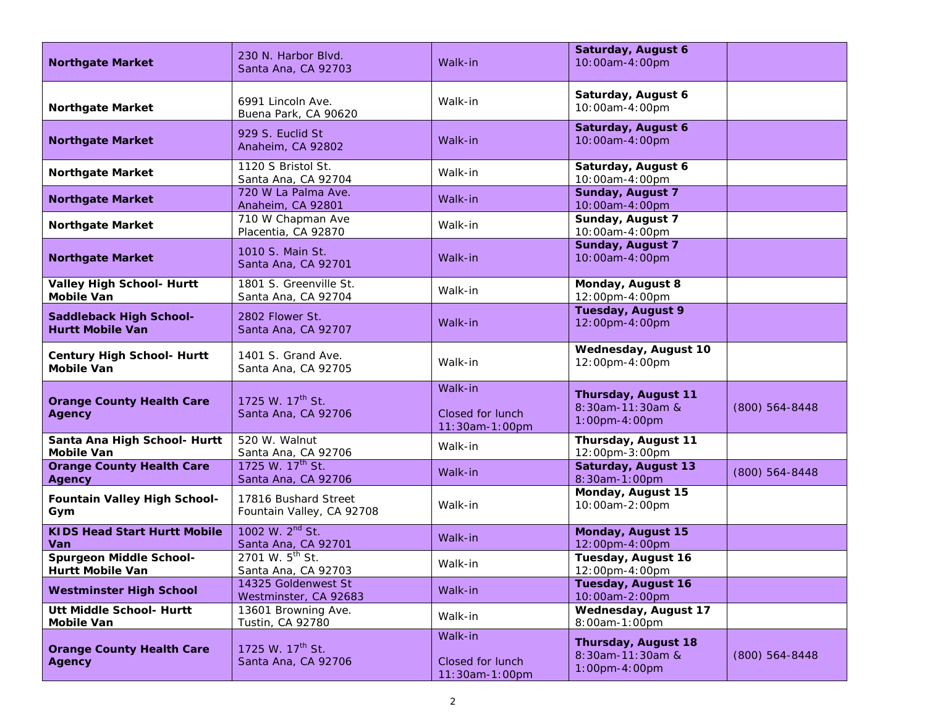| <b>Northgate Market</b>                                   | 230 N. Harbor Blvd.<br>Santa Ana, CA 92703          | Walk-in                                       | Saturday, August 6<br>10:00am-4:00pm                     |                    |
|-----------------------------------------------------------|-----------------------------------------------------|-----------------------------------------------|----------------------------------------------------------|--------------------|
| <b>Northgate Market</b>                                   | 6991 Lincoln Ave.<br>Buena Park, CA 90620           | Walk-in                                       | Saturday, August 6<br>10:00am-4:00pm                     |                    |
| <b>Northgate Market</b>                                   | 929 S. Euclid St<br>Anaheim, CA 92802               | Walk-in                                       | Saturday, August 6<br>10:00am-4:00pm                     |                    |
| <b>Northgate Market</b>                                   | 1120 S Bristol St.<br>Santa Ana, CA 92704           | Walk-in                                       | Saturday, August 6<br>10:00am-4:00pm                     |                    |
| <b>Northgate Market</b>                                   | 720 W La Palma Ave.<br>Anaheim, CA 92801            | Walk-in                                       | Sunday, August 7<br>10:00am-4:00pm                       |                    |
| <b>Northgate Market</b>                                   | 710 W Chapman Ave<br>Placentia, CA 92870            | Walk-in                                       | Sunday, August 7<br>10:00am-4:00pm                       |                    |
| <b>Northgate Market</b>                                   | 1010 S. Main St.<br>Santa Ana, CA 92701             | Walk-in                                       | <b>Sunday, August 7</b><br>10:00am-4:00pm                |                    |
| <b>Valley High School- Hurtt</b><br><b>Mobile Van</b>     | 1801 S. Greenville St.<br>Santa Ana, CA 92704       | Walk-in                                       | Monday, August 8<br>12:00pm-4:00pm                       |                    |
| <b>Saddleback High School-</b><br><b>Hurtt Mobile Van</b> | 2802 Flower St.<br>Santa Ana, CA 92707              | Walk-in                                       | <b>Tuesday, August 9</b><br>12:00pm-4:00pm               |                    |
| <b>Century High School- Hurtt</b><br><b>Mobile Van</b>    | 1401 S. Grand Ave.<br>Santa Ana, CA 92705           | Walk-in                                       | Wednesday, August 10<br>12:00pm-4:00pm                   |                    |
| <b>Orange County Health Care</b><br><b>Agency</b>         | 1725 W. 17 <sup>th</sup> St.<br>Santa Ana, CA 92706 | Walk-in<br>Closed for lunch<br>11:30am-1:00pm | Thursday, August 11<br>8:30am-11:30am &<br>1:00pm-4:00pm | $(800) 564 - 8448$ |
| Santa Ana High School- Hurtt<br><b>Mobile Van</b>         | 520 W. Walnut<br>Santa Ana, CA 92706                | Walk-in                                       | Thursday, August 11<br>12:00pm-3:00pm                    |                    |
| <b>Orange County Health Care</b><br><b>Agency</b>         | 1725 W. 17 <sup>th</sup> St.<br>Santa Ana, CA 92706 | Walk-in                                       | Saturday, August 13<br>8:30am-1:00pm                     | (800) 564-8448     |
| <b>Fountain Valley High School-</b><br>Gym                | 17816 Bushard Street<br>Fountain Valley, CA 92708   | Walk-in                                       | Monday, August 15<br>10:00am-2:00pm                      |                    |
| <b>KIDS Head Start Hurtt Mobile</b><br>Van                | 1002 W. 2 <sup>nd</sup> St.<br>Santa Ana, CA 92701  | Walk-in                                       | Monday, August 15<br>12:00pm-4:00pm                      |                    |
| <b>Spurgeon Middle School-</b><br><b>Hurtt Mobile Van</b> | 2701 W. 5 <sup>th</sup> St.<br>Santa Ana, CA 92703  | Walk-in                                       | Tuesday, August 16<br>12:00pm-4:00pm                     |                    |
| <b>Westminster High School</b>                            | 14325 Goldenwest St<br>Westminster, CA 92683        | Walk-in                                       | Tuesday, August 16<br>10:00am-2:00pm                     |                    |
| Utt Middle School- Hurtt<br><b>Mobile Van</b>             | 13601 Browning Ave.<br>Tustin, CA 92780             | Walk-in                                       | Wednesday, August 17<br>8:00am-1:00pm                    |                    |
| <b>Orange County Health Care</b><br><b>Agency</b>         | 1725 W. 17 <sup>th</sup> St.<br>Santa Ana, CA 92706 | Walk-in<br>Closed for lunch<br>11:30am-1:00pm | Thursday, August 18<br>8:30am-11:30am &<br>1:00pm-4:00pm | $(800) 564 - 8448$ |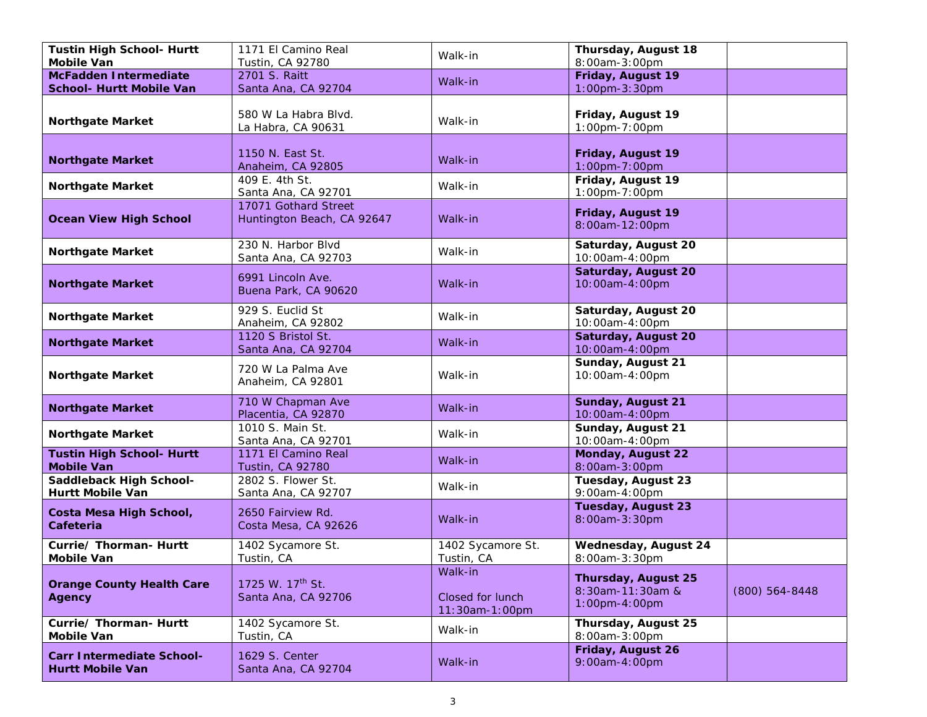| <b>Tustin High School- Hurtt</b><br><b>Mobile Van</b>       | 1171 El Camino Real                                 | Walk-in                                       | Thursday, August 18<br>8:00am-3:00pm                        |                  |
|-------------------------------------------------------------|-----------------------------------------------------|-----------------------------------------------|-------------------------------------------------------------|------------------|
| <b>McFadden Intermediate</b>                                | Tustin, CA 92780<br>2701 S. Raitt                   |                                               | Friday, August 19                                           |                  |
| <b>School- Hurtt Mobile Van</b>                             | Santa Ana, CA 92704                                 | Walk-in                                       | 1:00pm-3:30pm                                               |                  |
| <b>Northgate Market</b>                                     | 580 W La Habra Blvd.<br>La Habra, CA 90631          | Walk-in                                       | Friday, August 19<br>1:00pm-7:00pm                          |                  |
| <b>Northgate Market</b>                                     | 1150 N. East St.<br>Anaheim, CA 92805               | Walk-in                                       | Friday, August 19<br>1:00pm-7:00pm                          |                  |
| <b>Northgate Market</b>                                     | 409 E. 4th St.<br>Santa Ana, CA 92701               | Walk-in                                       | Friday, August 19<br>1:00pm-7:00pm                          |                  |
| <b>Ocean View High School</b>                               | 17071 Gothard Street<br>Huntington Beach, CA 92647  | Walk-in                                       | Friday, August 19<br>8:00am-12:00pm                         |                  |
| <b>Northgate Market</b>                                     | 230 N. Harbor Blvd<br>Santa Ana, CA 92703           | Walk-in                                       | Saturday, August 20<br>10:00am-4:00pm                       |                  |
| <b>Northgate Market</b>                                     | 6991 Lincoln Ave.<br>Buena Park, CA 90620           | Walk-in                                       | Saturday, August 20<br>10:00am-4:00pm                       |                  |
| <b>Northgate Market</b>                                     | 929 S. Euclid St<br>Anaheim, CA 92802               | Walk-in                                       | Saturday, August 20<br>10:00am-4:00pm                       |                  |
| <b>Northgate Market</b>                                     | 1120 S Bristol St.<br>Santa Ana, CA 92704           | Walk-in                                       | Saturday, August 20<br>10:00am-4:00pm                       |                  |
| <b>Northgate Market</b>                                     | 720 W La Palma Ave<br>Anaheim, CA 92801             | Walk-in                                       | Sunday, August 21<br>10:00am-4:00pm                         |                  |
| <b>Northgate Market</b>                                     | 710 W Chapman Ave<br>Placentia, CA 92870            | Walk-in                                       | Sunday, August 21<br>10:00am-4:00pm                         |                  |
| <b>Northgate Market</b>                                     | 1010 S. Main St.<br>Santa Ana, CA 92701             | Walk-in                                       | Sunday, August 21<br>10:00am-4:00pm                         |                  |
| <b>Tustin High School- Hurtt</b><br><b>Mobile Van</b>       | 1171 El Camino Real<br><b>Tustin, CA 92780</b>      | Walk-in                                       | Monday, August 22<br>8:00am-3:00pm                          |                  |
| Saddleback High School-<br>Hurtt Mobile Van                 | 2802 S. Flower St.<br>Santa Ana, CA 92707           | Walk-in                                       | Tuesday, August 23<br>9:00am-4:00pm                         |                  |
| Costa Mesa High School,<br><b>Cafeteria</b>                 | 2650 Fairview Rd.<br>Costa Mesa, CA 92626           | Walk-in                                       | <b>Tuesday, August 23</b><br>8:00am-3:30pm                  |                  |
| Currie/ Thorman- Hurtt<br><b>Mobile Van</b>                 | 1402 Sycamore St.<br>Tustin, CA                     | 1402 Sycamore St.<br>Tustin, CA               | <b>Wednesday, August 24</b><br>8:00am-3:30pm                |                  |
| <b>Orange County Health Care</b><br><b>Agency</b>           | 1725 W. 17 <sup>th</sup> St.<br>Santa Ana, CA 92706 | Walk-in<br>Closed for lunch<br>11:30am-1:00pm | Thursday, August 25<br>8:30am-11:30am &<br>$1:00$ pm-4:00pm | $(800)$ 564-8448 |
| Currie/ Thorman- Hurtt<br><b>Mobile Van</b>                 | 1402 Sycamore St.<br>Tustin, CA                     | Walk-in                                       | Thursday, August 25<br>8:00am-3:00pm                        |                  |
| <b>Carr Intermediate School-</b><br><b>Hurtt Mobile Van</b> | 1629 S. Center<br>Santa Ana, CA 92704               | Walk-in                                       | Friday, August 26<br>9:00am-4:00pm                          |                  |